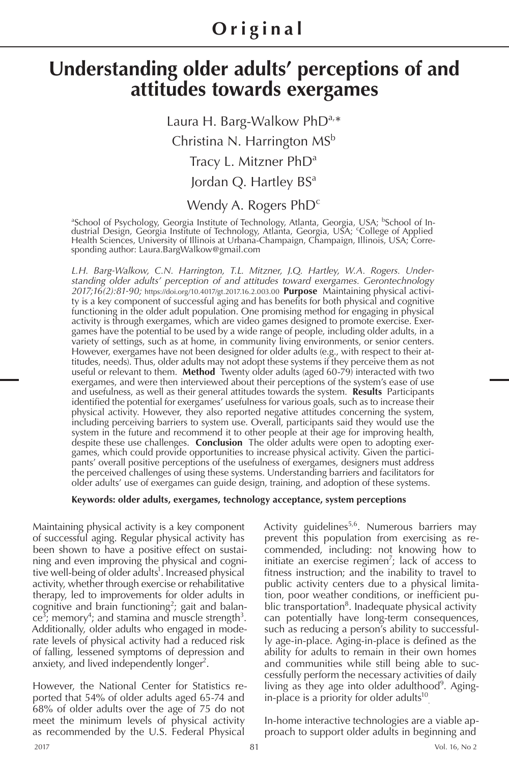## **Original**

# **Understanding older adults' perceptions of and attitudes towards exergames**

Laura H. Barg-Walkow PhD<sup>a,\*</sup> Christina N. Harrington MS<sup>b</sup> Tracy L. Mitzner PhD<sup>a</sup> Jordan Q. Hartley BS<sup>a</sup>

## Wendy A. Rogers PhD<sup>c</sup>

<sup>a</sup>School of Psychology, Georgia Institute of Technology, Atlanta, Georgia, USA; <sup>b</sup>School of Industrial Design, Georgia Institute of Technology, Atlanta, Georgia, USA; College of Applied Health Sciences, University of Illinois at Urbana-Champaign, Champaign, Illinois, USA; Corresponding author: Laura.BargWalkow@gmail.com

*L.H. Barg-Walkow, C.N. Harrington, T.L. Mitzner, J.Q. Hartley, W.A. Rogers. Understanding older adults' perception of and attitudes toward exergames. Gerontechnology 2017;16(2):81-90;* https://doi.org/10.4017/gt.2017.16.2.003.00 **Purpose** Maintaining physical activity is a key component of successful aging and has benefits for both physical and cognitive functioning in the older adult population. One promising method for engaging in physical activity is through exergames, which are video games designed to promote exercise. Exergames have the potential to be used by a wide range of people, including older adults, in a variety of settings, such as at home, in community living environments, or senior centers. However, exergames have not been designed for older adults (e.g., with respect to their attitudes, needs). Thus, older adults may not adopt these systems if they perceive them as not useful or relevant to them. **Method** Twenty older adults (aged 60-79) interacted with two exergames, and were then interviewed about their perceptions of the system's ease of use and usefulness, as well as their general attitudes towards the system. **Results** Participants identified the potential for exergames' usefulness for various goals, such as to increase their physical activity. However, they also reported negative attitudes concerning the system, including perceiving barriers to system use. Overall, participants said they would use the system in the future and recommend it to other people at their age for improving health, despite these use challenges. **Conclusion** The older adults were open to adopting exergames, which could provide opportunities to increase physical activity. Given the participants' overall positive perceptions of the usefulness of exergames, designers must address the perceived challenges of using these systems. Understanding barriers and facilitators for older adults' use of exergames can guide design, training, and adoption of these systems.

#### **Keywords: older adults, exergames, technology acceptance, system perceptions**

Maintaining physical activity is a key component of successful aging. Regular physical activity has been shown to have a positive effect on sustaining and even improving the physical and cognitive well-being of older adults<sup>1</sup>. Increased physical activity, whether through exercise or rehabilitative therapy, led to improvements for older adults in cognitive and brain functioning<sup>2</sup>; gait and balan $ce^{3}$ ; memory<sup>4</sup>; and stamina and muscle strength<sup>3</sup>. Additionally, older adults who engaged in moderate levels of physical activity had a reduced risk of falling, lessened symptoms of depression and anxiety, and lived independently longer<sup>2</sup>.

However, the National Center for Statistics reported that 54% of older adults aged 65-74 and 68% of older adults over the age of 75 do not meet the minimum levels of physical activity as recommended by the U.S. Federal Physical

Activity guidelines<sup>5,6</sup>. Numerous barriers may prevent this population from exercising as recommended, including: not knowing how to initiate an exercise regimen<sup>7</sup>; lack of access to fitness instruction; and the inability to travel to public activity centers due to a physical limitation, poor weather conditions, or inefficient public transportation<sup>8</sup>. Inadequate physical activity can potentially have long-term consequences, such as reducing a person's ability to successfully age-in-place. Aging-in-place is defined as the ability for adults to remain in their own homes and communities while still being able to successfully perform the necessary activities of daily living as they age into older adulthood<sup>9</sup>. Agingin-place is a priority for older adults $10$ .

In-home interactive technologies are a viable approach to support older adults in beginning and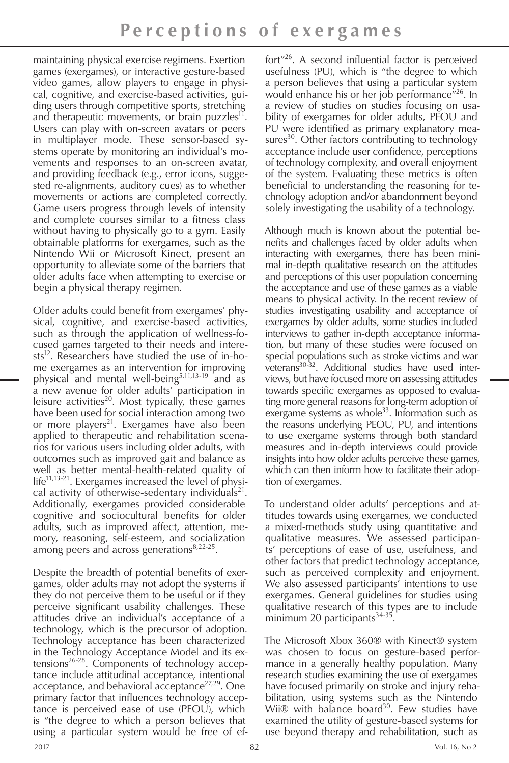maintaining physical exercise regimens. Exertion games (exergames), or interactive gesture-based video games, allow players to engage in physical, cognitive, and exercise-based activities, guiding users through competitive sports, stretching and therapeutic movements, or brain puzzles<sup>11</sup>. Users can play with on-screen avatars or peers in multiplayer mode. These sensor-based systems operate by monitoring an individual's movements and responses to an on-screen avatar, and providing feedback (e.g., error icons, suggested re-alignments, auditory cues) as to whether movements or actions are completed correctly. Game users progress through levels of intensity and complete courses similar to a fitness class without having to physically go to a gym. Easily obtainable platforms for exergames, such as the Nintendo Wii or Microsoft Kinect, present an opportunity to alleviate some of the barriers that older adults face when attempting to exercise or begin a physical therapy regimen.

Older adults could benefit from exergames' physical, cognitive, and exercise-based activities, such as through the application of wellness-focused games targeted to their needs and intere $sts^{12}$ . Researchers have studied the use of in-home exergames as an intervention for improving physical and mental well-being<sup>5,11,13-19</sup> and as a new avenue for older adults' participation in leisure activities<sup>20</sup>. Most typically, these games have been used for social interaction among two or more players<sup>21</sup>. Exergames have also been applied to therapeutic and rehabilitation scenarios for various users including older adults, with outcomes such as improved gait and balance as well as better mental-health-related quality of life<sup>11,13-21</sup>. Exergames increased the level of physical activity of otherwise-sedentary individuals<sup>21</sup>. Additionally, exergames provided considerable cognitive and sociocultural benefits for older adults, such as improved affect, attention, memory, reasoning, self-esteem, and socialization among peers and across generations $8,22-25$ .

Despite the breadth of potential benefits of exergames, older adults may not adopt the systems if they do not perceive them to be useful or if they perceive significant usability challenges. These attitudes drive an individual's acceptance of a technology, which is the precursor of adoption. Technology acceptance has been characterized in the Technology Acceptance Model and its extensions26-28. Components of technology acceptance include attitudinal acceptance, intentional acceptance, and behavioral acceptance<sup>27,29</sup>. One primary factor that influences technology acceptance is perceived ease of use (PEOU), which is "the degree to which a person believes that using a particular system would be free of effort"26. A second influential factor is perceived usefulness (PU), which is "the degree to which a person believes that using a particular system would enhance his or her job performance"26. In a review of studies on studies focusing on usability of exergames for older adults, PEOU and PU were identified as primary explanatory measures $30$ . Other factors contributing to technology acceptance include user confidence, perceptions of technology complexity, and overall enjoyment of the system. Evaluating these metrics is often beneficial to understanding the reasoning for technology adoption and/or abandonment beyond solely investigating the usability of a technology.

Although much is known about the potential benefits and challenges faced by older adults when interacting with exergames, there has been minimal in-depth qualitative research on the attitudes and perceptions of this user population concerning the acceptance and use of these games as a viable means to physical activity. In the recent review of studies investigating usability and acceptance of exergames by older adults, some studies included interviews to gather in-depth acceptance information, but many of these studies were focused on special populations such as stroke victims and war veterans30-32. Additional studies have used interviews, but have focused more on assessing attitudes towards specific exergames as opposed to evaluating more general reasons for long-term adoption of exergame systems as whole $33$ . Information such as the reasons underlying PEOU, PU, and intentions to use exergame systems through both standard measures and in-depth interviews could provide insights into how older adults perceive these games, which can then inform how to facilitate their adoption of exergames.

To understand older adults' perceptions and attitudes towards using exergames, we conducted a mixed-methods study using quantitative and qualitative measures. We assessed participants' perceptions of ease of use, usefulness, and other factors that predict technology acceptance, such as perceived complexity and enjoyment. We also assessed participants' intentions to use exergames. General guidelines for studies using qualitative research of this types are to include minimum 20 participants $34-35$ .

The Microsoft Xbox 360® with Kinect® system was chosen to focus on gesture-based performance in a generally healthy population. Many research studies examining the use of exergames have focused primarily on stroke and injury rehabilitation, using systems such as the Nintendo Wii $\mathbb{D}$  with balance board<sup>30</sup>. Few studies have examined the utility of gesture-based systems for use beyond therapy and rehabilitation, such as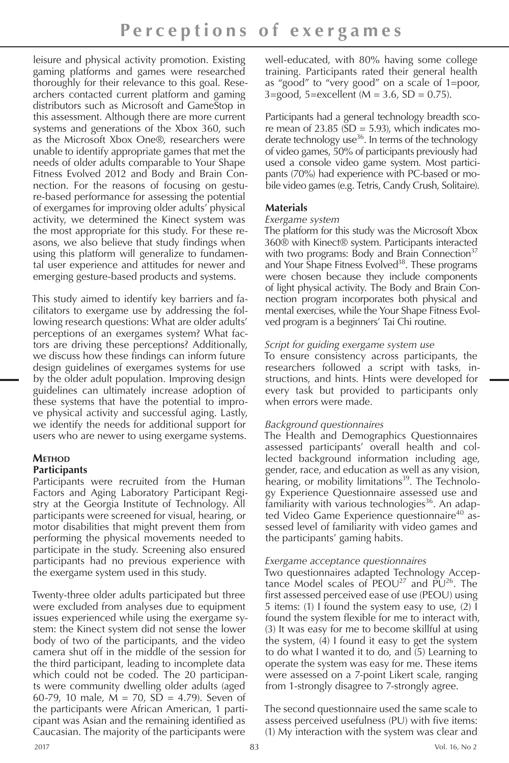leisure and physical activity promotion. Existing gaming platforms and games were researched thoroughly for their relevance to this goal. Researchers contacted current platform and gaming distributors such as Microsoft and GameStop in this assessment. Although there are more current systems and generations of the Xbox 360, such as the Microsoft Xbox One®, researchers were unable to identify appropriate games that met the needs of older adults comparable to Your Shape Fitness Evolved 2012 and Body and Brain Connection. For the reasons of focusing on gesture-based performance for assessing the potential of exergames for improving older adults' physical activity, we determined the Kinect system was the most appropriate for this study. For these reasons, we also believe that study findings when using this platform will generalize to fundamental user experience and attitudes for newer and emerging gesture-based products and systems.

This study aimed to identify key barriers and facilitators to exergame use by addressing the following research questions: What are older adults' perceptions of an exergames system? What factors are driving these perceptions? Additionally, we discuss how these findings can inform future design guidelines of exergames systems for use by the older adult population. Improving design guidelines can ultimately increase adoption of these systems that have the potential to improve physical activity and successful aging. Lastly, we identify the needs for additional support for users who are newer to using exergame systems.

#### **Method Participants**

Participants were recruited from the Human Factors and Aging Laboratory Participant Registry at the Georgia Institute of Technology. All participants were screened for visual, hearing, or motor disabilities that might prevent them from performing the physical movements needed to participate in the study. Screening also ensured participants had no previous experience with the exergame system used in this study.

Twenty-three older adults participated but three were excluded from analyses due to equipment issues experienced while using the exergame system: the Kinect system did not sense the lower body of two of the participants, and the video camera shut off in the middle of the session for the third participant, leading to incomplete data which could not be coded. The 20 participants were community dwelling older adults (aged 60-79, 10 male,  $\dot{M} = 70$ ,  $\dot{SD} = 4.79$ ). Seven of the participants were African American, 1 participant was Asian and the remaining identified as Caucasian. The majority of the participants were

well-educated, with 80% having some college training. Participants rated their general health as "good" to "very good" on a scale of 1=poor,  $3 = \text{good}$ ,  $5 = \text{excellent}$  ( $M = 3.6$ ,  $SD = 0.75$ ).

Participants had a general technology breadth score mean of  $23.85$  ( $SD = 5.93$ ), which indicates moderate technology use<sup>36</sup>. In terms of the technology of video games, 50% of participants previously had used a console video game system. Most participants (70%) had experience with PC-based or mobile video games (e.g. Tetris, Candy Crush, Solitaire).

## **Materials**

#### *Exergame system*

The platform for this study was the Microsoft Xbox 360® with Kinect® system. Participants interacted with two programs: Body and Brain Connection $37$ and Your Shape Fitness Evolved<sup>38</sup>. These programs were chosen because they include components of light physical activity. The Body and Brain Connection program incorporates both physical and mental exercises, while the Your Shape Fitness Evolved program is a beginners' Tai Chi routine.

#### *Script for guiding exergame system use*

To ensure consistency across participants, the researchers followed a script with tasks, instructions, and hints. Hints were developed for every task but provided to participants only when errors were made.

## *Background questionnaires*

The Health and Demographics Questionnaires assessed participants' overall health and collected background information including age, gender, race, and education as well as any vision, hearing, or mobility limitations<sup>39</sup>. The Technology Experience Questionnaire assessed use and familiarity with various technologies<sup>36</sup>. An adapted Video Game Experience questionnaire<sup>40</sup> assessed level of familiarity with video games and the participants' gaming habits.

#### *Exergame acceptance questionnaires*

Two questionnaires adapted Technology Acceptance Model scales of  $PEOU^{27}$  and  $PU^{26}$ . The first assessed perceived ease of use (PEOU) using 5 items: (1) I found the system easy to use, (2) I found the system flexible for me to interact with, (3) It was easy for me to become skillful at using the system, (4) I found it easy to get the system to do what I wanted it to do, and (5) Learning to operate the system was easy for me. These items were assessed on a 7-point Likert scale, ranging from 1-strongly disagree to 7-strongly agree.

The second questionnaire used the same scale to assess perceived usefulness (PU) with five items: (1) My interaction with the system was clear and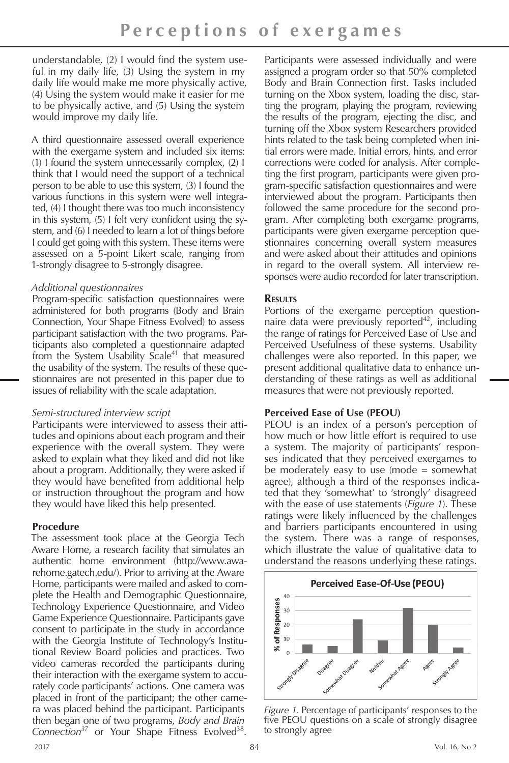understandable, (2) I would find the system useful in my daily life, (3) Using the system in my daily life would make me more physically active, (4) Using the system would make it easier for me to be physically active, and (5) Using the system would improve my daily life.

A third questionnaire assessed overall experience with the exergame system and included six items: (1) I found the system unnecessarily complex, (2) I think that I would need the support of a technical person to be able to use this system, (3) I found the various functions in this system were well integrated, (4) I thought there was too much inconsistency in this system, (5) I felt very confident using the system, and (6) I needed to learn a lot of things before I could get going with this system. These items were assessed on a 5-point Likert scale, ranging from 1-strongly disagree to 5-strongly disagree.

#### *Additional questionnaires*

Program-specific satisfaction questionnaires were administered for both programs (Body and Brain Connection, Your Shape Fitness Evolved) to assess participant satisfaction with the two programs. Participants also completed a questionnaire adapted from the System Usability Scale<sup>41</sup> that measured the usability of the system. The results of these questionnaires are not presented in this paper due to issues of reliability with the scale adaptation.

#### *Semi-structured interview script*

Participants were interviewed to assess their attitudes and opinions about each program and their experience with the overall system. They were asked to explain what they liked and did not like about a program. Additionally, they were asked if they would have benefited from additional help or instruction throughout the program and how they would have liked this help presented.

## **Procedure**

The assessment took place at the Georgia Tech Aware Home, a research facility that simulates an authentic home environment (http://www.awarehome.gatech.edu/). Prior to arriving at the Aware Home, participants were mailed and asked to complete the Health and Demographic Questionnaire, Technology Experience Questionnaire, and Video Game Experience Questionnaire. Participants gave consent to participate in the study in accordance with the Georgia Institute of Technology's Institutional Review Board policies and practices. Two video cameras recorded the participants during their interaction with the exergame system to accurately code participants' actions. One camera was placed in front of the participant; the other camera was placed behind the participant. Participants then began one of two programs, *Body and Brain*  Connection<sup>37</sup> or Your Shape Fitness Evolved<sup>38</sup>.

Participants were assessed individually and were assigned a program order so that 50% completed Body and Brain Connection first. Tasks included turning on the Xbox system, loading the disc, starting the program, playing the program, reviewing the results of the program, ejecting the disc, and turning off the Xbox system Researchers provided hints related to the task being completed when initial errors were made. Initial errors, hints, and error corrections were coded for analysis. After completing the first program, participants were given program-specific satisfaction questionnaires and were interviewed about the program. Participants then followed the same procedure for the second program. After completing both exergame programs, participants were given exergame perception questionnaires concerning overall system measures and were asked about their attitudes and opinions in regard to the overall system. All interview responses were audio recorded for later transcription.

## **Results**

Portions of the exergame perception questionnaire data were previously reported<sup>42</sup>, including the range of ratings for Perceived Ease of Use and Perceived Usefulness of these systems. Usability challenges were also reported. In this paper, we present additional qualitative data to enhance understanding of these ratings as well as additional measures that were not previously reported.

## **Perceived Ease of Use (PEOU)**

PEOU is an index of a person's perception of how much or how little effort is required to use a system. The majority of participants' responses indicated that they perceived exergames to be moderately easy to use (mode = somewhat agree), although a third of the responses indicated that they 'somewhat' to 'strongly' disagreed with the ease of use statements (*Figure 1*). These ratings were likely influenced by the challenges and barriers participants encountered in using the system. There was a range of responses, which illustrate the value of qualitative data to understand the reasons underlying these ratings.



*Figure 1.* Percentage of participants' responses to the five PEOU questions on a scale of strongly disagree to strongly agree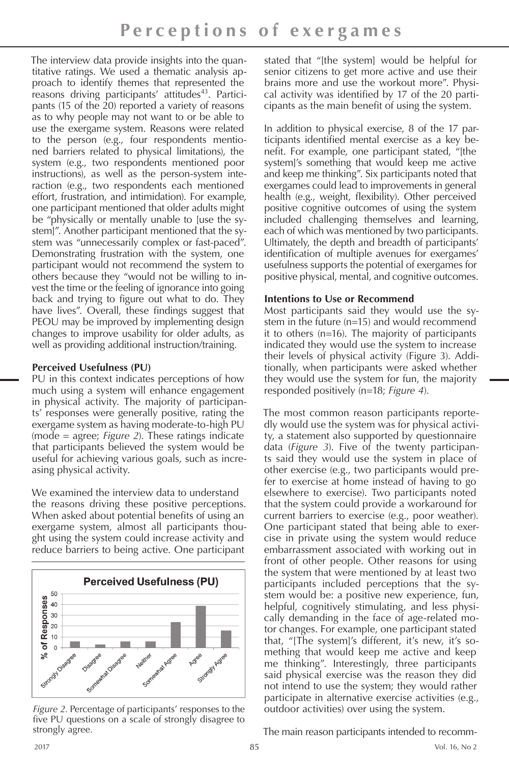The interview data provide insights into the quantitative ratings. We used a thematic analysis approach to identify themes that represented the reasons driving participants' attitudes<sup>43</sup>. Participants (15 of the 20) reported a variety of reasons as to why people may not want to or be able to use the exergame system. Reasons were related to the person (e.g., four respondents mentioned barriers related to physical limitations), the system (e.g., two respondents mentioned poor instructions), as well as the person-system interaction (e.g., two respondents each mentioned effort, frustration, and intimidation). For example, one participant mentioned that older adults might be "physically or mentally unable to [use the system]". Another participant mentioned that the system was "unnecessarily complex or fast-paced". Demonstrating frustration with the system, one participant would not recommend the system to others because they "would not be willing to invest the time or the feeling of ignorance into going back and trying to figure out what to do. They have lives". Overall, these findings suggest that PEOU may be improved by implementing design changes to improve usability for older adults, as well as providing additional instruction/training.

## **Perceived Usefulness (PU)**

PU in this context indicates perceptions of how much using a system will enhance engagement in physical activity. The majority of participants' responses were generally positive, rating the exergame system as having moderate-to-high PU (mode = agree; *Figure 2*). These ratings indicate that participants believed the system would be useful for achieving various goals, such as increasing physical activity.

We examined the interview data to understand the reasons driving these positive perceptions. When asked about potential benefits of using an exergame system, almost all participants thought using the system could increase activity and reduce barriers to being active. One participant



*Figure 2.* Percentage of participants' responses to the five PU questions on a scale of strongly disagree to strongly agree.

stated that "[the system] would be helpful for senior citizens to get more active and use their brains more and use the workout more". Physical activity was identified by 17 of the 20 participants as the main benefit of using the system.

In addition to physical exercise, 8 of the 17 participants identified mental exercise as a key benefit. For example, one participant stated, "[the system]'s something that would keep me active and keep me thinking". Six participants noted that exergames could lead to improvements in general health (e.g., weight, flexibility). Other perceived positive cognitive outcomes of using the system included challenging themselves and learning, each of which was mentioned by two participants. Ultimately, the depth and breadth of participants' identification of multiple avenues for exergames' usefulness supports the potential of exergames for positive physical, mental, and cognitive outcomes.

## **Intentions to Use or Recommend**

Most participants said they would use the system in the future (n=15) and would recommend it to others (n=16). The majority of participants indicated they would use the system to increase their levels of physical activity (Figure 3). Additionally, when participants were asked whether they would use the system for fun, the majority responded positively (n=18; *Figure 4*).

The most common reason participants reportedly would use the system was for physical activity, a statement also supported by questionnaire data (*Figure 3*). Five of the twenty participants said they would use the system in place of other exercise (e.g., two participants would prefer to exercise at home instead of having to go elsewhere to exercise). Two participants noted that the system could provide a workaround for current barriers to exercise (e.g., poor weather). One participant stated that being able to exercise in private using the system would reduce embarrassment associated with working out in front of other people. Other reasons for using the system that were mentioned by at least two participants included perceptions that the system would be: a positive new experience, fun, helpful, cognitively stimulating, and less physically demanding in the face of age-related motor changes. For example, one participant stated that, "[The system]'s different, it's new, it's something that would keep me active and keep me thinking". Interestingly, three participants said physical exercise was the reason they did not intend to use the system; they would rather participate in alternative exercise activities (e.g., outdoor activities) over using the system.

The main reason participants intended to recomm-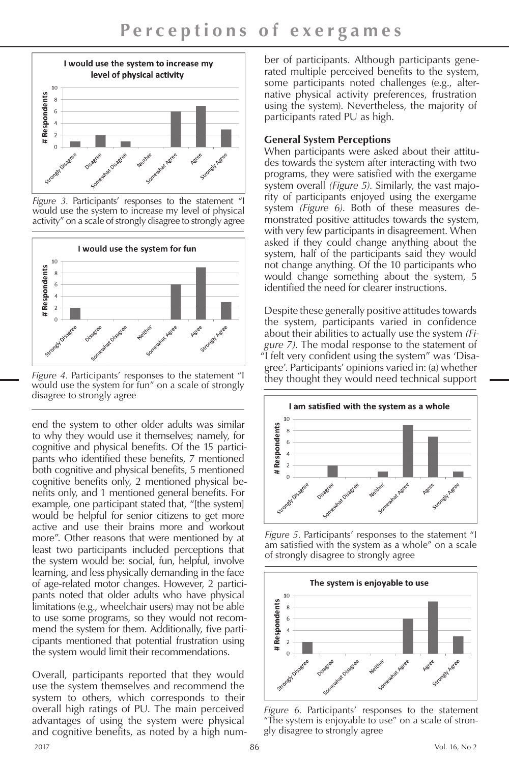

*Figure 3.* Participants' responses to the statement "I would use the system to increase my level of physical activity" on a scale of strongly disagree to strongly agree



*Figure 4.* Participants' responses to the statement "I would use the system for fun" on a scale of strongly disagree to strongly agree

end the system to other older adults was similar to why they would use it themselves; namely, for cognitive and physical benefits. Of the 15 participants who identified these benefits, 7 mentioned both cognitive and physical benefits, 5 mentioned cognitive benefits only, 2 mentioned physical benefits only, and 1 mentioned general benefits. For example, one participant stated that, "[the system] would be helpful for senior citizens to get more active and use their brains more and workout more". Other reasons that were mentioned by at least two participants included perceptions that the system would be: social, fun, helpful, involve learning, and less physically demanding in the face of age-related motor changes. However, 2 participants noted that older adults who have physical limitations (e.g., wheelchair users) may not be able to use some programs, so they would not recommend the system for them. Additionally, five participants mentioned that potential frustration using the system would limit their recommendations.

Overall, participants reported that they would use the system themselves and recommend the system to others, which corresponds to their overall high ratings of PU. The main perceived advantages of using the system were physical and cognitive benefits, as noted by a high number of participants. Although participants generated multiple perceived benefits to the system, some participants noted challenges (e.g., alternative physical activity preferences, frustration using the system). Nevertheless, the majority of participants rated PU as high.

### **General System Perceptions**

When participants were asked about their attitudes towards the system after interacting with two programs, they were satisfied with the exergame system overall *(Figure 5).* Similarly, the vast majority of participants enjoyed using the exergame system *(Figure 6)*. Both of these measures demonstrated positive attitudes towards the system, with very few participants in disagreement. When asked if they could change anything about the system, half of the participants said they would not change anything. Of the 10 participants who would change something about the system, 5 identified the need for clearer instructions.

Despite these generally positive attitudes towards the system, participants varied in confidence about their abilities to actually use the system *(Figure 7)*. The modal response to the statement of "I felt very confident using the system" was 'Disagree'. Participants' opinions varied in: (a) whether they thought they would need technical support



*Figure 5.* Participants' responses to the statement "I am satisfied with the system as a whole" on a scale of strongly disagree to strongly agree



*Figure 6.* Participants' responses to the statement "The system is enjoyable to use" on a scale of strongly disagree to strongly agree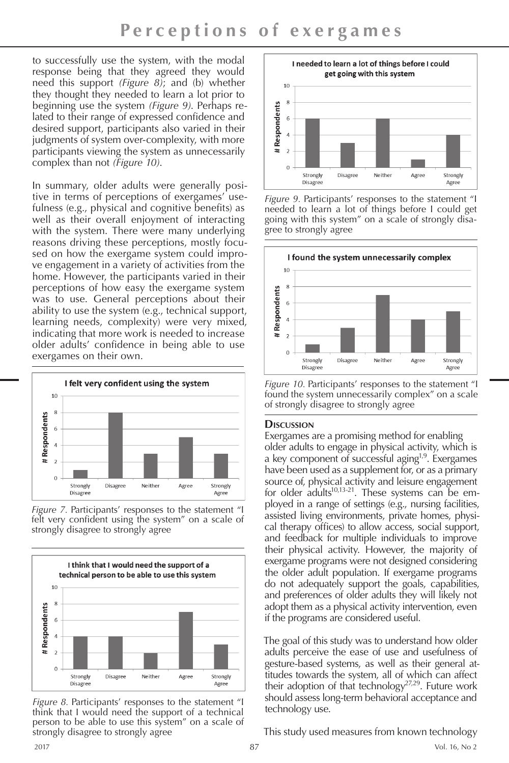to successfully use the system, with the modal response being that they agreed they would need this support *(Figure 8)*; and (b) whether they thought they needed to learn a lot prior to beginning use the system *(Figure 9)*. Perhaps related to their range of expressed confidence and desired support, participants also varied in their judgments of system over-complexity, with more participants viewing the system as unnecessarily complex than not *(Figure 10)*.

In summary, older adults were generally positive in terms of perceptions of exergames' usefulness (e.g., physical and cognitive benefits) as well as their overall enjoyment of interacting with the system. There were many underlying reasons driving these perceptions, mostly focused on how the exergame system could improve engagement in a variety of activities from the home. However, the participants varied in their perceptions of how easy the exergame system was to use. General perceptions about their ability to use the system (e.g., technical support, learning needs, complexity) were very mixed, indicating that more work is needed to increase older adults' confidence in being able to use exergames on their own.



*Figure 7.* Participants' responses to the statement "I felt very confident using the system" on a scale of strongly disagree to strongly agree



*Figure 8.* Participants' responses to the statement "I think that I would need the support of a technical person to be able to use this system" on a scale of strongly disagree to strongly agree



*Figure 9.* Participants' responses to the statement "I needed to learn a lot of things before I could get going with this system" on a scale of strongly disagree to strongly agree



*Figure 10.* Participants' responses to the statement "I found the system unnecessarily complex" on a scale of strongly disagree to strongly agree

#### **Discussion**

Exergames are a promising method for enabling older adults to engage in physical activity, which is a key component of successful aging<sup>1,9</sup>. Exergames have been used as a supplement for, or as a primary source of, physical activity and leisure engagement for older adults $10,13-21$ . These systems can be employed in a range of settings (e.g., nursing facilities, assisted living environments, private homes, physical therapy offices) to allow access, social support, and feedback for multiple individuals to improve their physical activity. However, the majority of exergame programs were not designed considering the older adult population. If exergame programs do not adequately support the goals, capabilities, and preferences of older adults they will likely not adopt them as a physical activity intervention, even if the programs are considered useful.

The goal of this study was to understand how older adults perceive the ease of use and usefulness of gesture-based systems, as well as their general attitudes towards the system, all of which can affect their adoption of that technology<sup>27,29</sup>. Future work should assess long-term behavioral acceptance and technology use.

This study used measures from known technology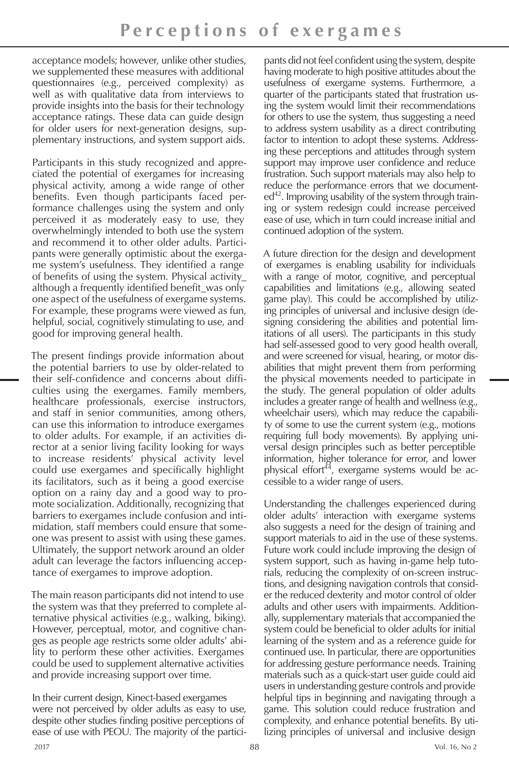acceptance models; however, unlike other studies, we supplemented these measures with additional questionnaires (e.g., perceived complexity) as well as with qualitative data from interviews to provide insights into the basis for their technology acceptance ratings. These data can guide design for older users for next-generation designs, supplementary instructions, and system support aids.

Participants in this study recognized and appreciated the potential of exergames for increasing physical activity, among a wide range of other benefits. Even though participants faced performance challenges using the system and only perceived it as moderately easy to use, they overwhelmingly intended to both use the system and recommend it to other older adults. Participants were generally optimistic about the exergame system's usefulness. They identified a range of benefits of using the system. Physical activity\_ although a frequently identified benefit\_was only one aspect of the usefulness of exergame systems. For example, these programs were viewed as fun, helpful, social, cognitively stimulating to use, and good for improving general health.

The present findings provide information about the potential barriers to use by older-related to their self-confidence and concerns about difficulties using the exergames. Family members, healthcare professionals, exercise instructors, and staff in senior communities, among others, can use this information to introduce exergames to older adults. For example, if an activities director at a senior living facility looking for ways to increase residents' physical activity level could use exergames and specifically highlight its facilitators, such as it being a good exercise option on a rainy day and a good way to promote socialization. Additionally, recognizing that barriers to exergames include confusion and intimidation, staff members could ensure that someone was present to assist with using these games. Ultimately, the support network around an older adult can leverage the factors influencing acceptance of exergames to improve adoption.

The main reason participants did not intend to use the system was that they preferred to complete alternative physical activities (e.g., walking, biking). However, perceptual, motor, and cognitive changes as people age restricts some older adults' ability to perform these other activities. Exergames could be used to supplement alternative activities and provide increasing support over time.

In their current design, Kinect-based exergames were not perceived by older adults as easy to use, despite other studies finding positive perceptions of ease of use with PEOU. The majority of the partici-

pants did not feel confident using the system, despite having moderate to high positive attitudes about the usefulness of exergame systems. Furthermore, a quarter of the participants stated that frustration using the system would limit their recommendations for others to use the system, thus suggesting a need to address system usability as a direct contributing factor to intention to adopt these systems. Addressing these perceptions and attitudes through system support may improve user confidence and reduce frustration. Such support materials may also help to reduce the performance errors that we document $ed^{42}$ . Improving usability of the system through training or system redesign could increase perceived ease of use, which in turn could increase initial and continued adoption of the system.

A future direction for the design and development of exergames is enabling usability for individuals with a range of motor, cognitive, and perceptual capabilities and limitations (e.g., allowing seated game play). This could be accomplished by utilizing principles of universal and inclusive design (designing considering the abilities and potential limitations of all users). The participants in this study had self-assessed good to very good health overall, and were screened for visual, hearing, or motor disabilities that might prevent them from performing the physical movements needed to participate in the study. The general population of older adults includes a greater range of health and wellness (e.g., wheelchair users), which may reduce the capability of some to use the current system (e.g., motions requiring full body movements). By applying universal design principles such as better perceptible information, higher tolerance for error, and lower physical effort<sup>44</sup>, exergame systems would be accessible to a wider range of users.

Understanding the challenges experienced during older adults' interaction with exergame systems also suggests a need for the design of training and support materials to aid in the use of these systems. Future work could include improving the design of system support, such as having in-game help tutorials, reducing the complexity of on-screen instructions, and designing navigation controls that consider the reduced dexterity and motor control of older adults and other users with impairments. Additionally, supplementary materials that accompanied the system could be beneficial to older adults for initial learning of the system and as a reference guide for continued use. In particular, there are opportunities for addressing gesture performance needs. Training materials such as a quick-start user guide could aid users in understanding gesture controls and provide helpful tips in beginning and navigating through a game. This solution could reduce frustration and complexity, and enhance potential benefits. By utilizing principles of universal and inclusive design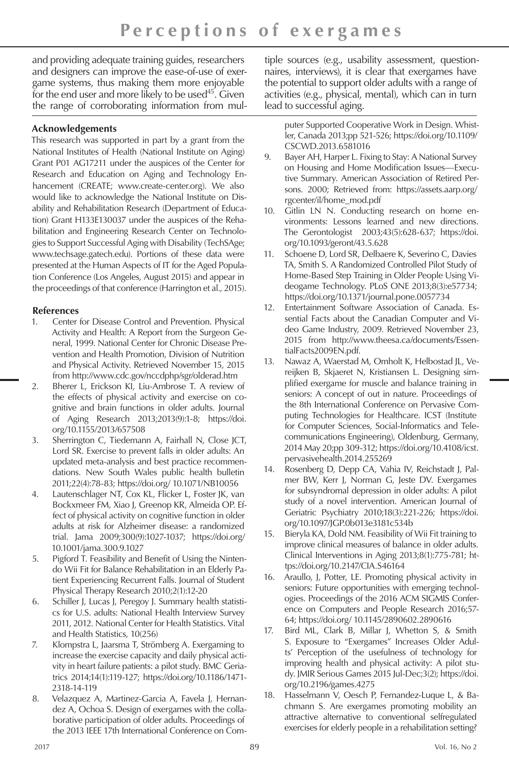and providing adequate training guides, researchers and designers can improve the ease-of-use of exergame systems, thus making them more enjoyable for the end user and more likely to be used $45$ . Given the range of corroborating information from mul-

## **Acknowledgements**

This research was supported in part by a grant from the National Institutes of Health (National Institute on Aging) Grant P01 AG17211 under the auspices of the Center for Research and Education on Aging and Technology Enhancement (CREATE; www.create-center.org). We also would like to acknowledge the National Institute on Disability and Rehabilitation Research (Department of Education) Grant H133E130037 under the auspices of the Rehabilitation and Engineering Research Center on Technologies to Support Successful Aging with Disability (TechSAge; www.techsage.gatech.edu). Portions of these data were presented at the Human Aspects of IT for the Aged Population Conference (Los Angeles, August 2015) and appear in the proceedings of that conference (Harrington et al., 2015).

## **References**

- 1. Center for Disease Control and Prevention. Physical Activity and Health: A Report from the Surgeon General, 1999. National Center for Chronic Disease Prevention and Health Promotion, Division of Nutrition and Physical Activity. Retrieved November 15, 2015 from http://www.cdc.gov/nccdphp/sgr/olderad.htm
- 2. Bherer L, Erickson KI, Liu-Ambrose T. A review of the effects of physical activity and exercise on cognitive and brain functions in older adults. Journal of Aging Research 2013;2013(9):1-8; https://doi. org/10.1155/2013/657508
- 3. Sherrington C, Tiedemann A, Fairhall N, Close JCT, Lord SR. Exercise to prevent falls in older adults: An updated meta-analysis and best practice recommendations. New South Wales public health bulletin 2011;22(4):78-83; https://doi.org/ 10.1071/NB10056
- 4. Lautenschlager NT, Cox KL, Flicker L, Foster JK, van Bockxmeer FM, Xiao J, Greenop KR, Almeida OP. Effect of physical activity on cognitive function in older adults at risk for Alzheimer disease: a randomized trial. Jama 2009;300(9):1027-1037; https://doi.org/ 10.1001/jama.300.9.1027
- 5. Pigford T. Feasibility and Benefit of Using the Nintendo Wii Fit for Balance Rehabilitation in an Elderly Patient Experiencing Recurrent Falls. Journal of Student Physical Therapy Research 2010;2(1):12-20
- 6. Schiller J, Lucas J, Peregoy J. Summary health statistics for U.S. adults: National Health Interview Survey 2011, 2012. National Center for Health Statistics. Vital and Health Statistics, 10(256)
- 7. Klompstra L, Jaarsma T, Strömberg A. Exergaming to increase the exercise capacity and daily physical activity in heart failure patients: a pilot study. BMC Geriatrics 2014;14(1):119-127; https://doi.org/10.1186/1471- 2318-14-119
- 8. Velazquez A, Martinez-Garcia A, Favela J, Hernandez A, Ochoa S. Design of exergames with the collaborative participation of older adults. Proceedings of the 2013 IEEE 17th International Conference on Com-

tiple sources (e.g., usability assessment, questionnaires, interviews), it is clear that exergames have the potential to support older adults with a range of activities (e.g., physical, mental), which can in turn lead to successful aging.

puter Supported Cooperative Work in Design. Whistler, Canada 2013;pp 521-526; https://doi.org/10.1109/ CSCWD.2013.6581016

- 9. Bayer AH, Harper L. Fixing to Stay: A National Survey on Housing and Home Modification Issues—Executive Summary. American Association of Retired Persons. 2000; Retrieved from: https://assets.aarp.org/ rgcenter/il/home\_mod.pdf
- 10. Gitlin LN N. Conducting research on home environments: Lessons learned and new directions. The Gerontologist 2003;43(5):628-637; https://doi. org/10.1093/geront/43.5.628
- 11. Schoene D, Lord SR, Delbaere K, Severino C, Davies TA, Smith S. A Randomized Controlled Pilot Study of Home-Based Step Training in Older People Using Videogame Technology. PLoS ONE 2013;8(3):e57734; https://doi.org/10.1371/journal.pone.0057734
- 12. Entertainment Software Association of Canada. Essential Facts about the Canadian Computer and Video Game Industry, 2009. Retrieved November 23, 2015 from http://www.theesa.ca/documents/EssentialFacts2009EN.pdf.
- 13. Nawaz A, Waerstad M, Omholt K, Helbostad JL, Vereijken B, Skjaeret N, Kristiansen L. Designing simplified exergame for muscle and balance training in seniors: A concept of out in nature. Proceedings of the 8th International Conference on Pervasive Computing Technologies for Healthcare. ICST (Institute for Computer Sciences, Social-Informatics and Telecommunications Engineering), Oldenburg, Germany, 2014 May 20;pp 309-312; https://doi.org/10.4108/icst. pervasivehealth.2014.255269
- 14. Rosenberg D, Depp CA, Vahia IV, Reichstadt J, Palmer BW, Kerr J, Norman G, Jeste DV. Exergames for subsyndromal depression in older adults: A pilot study of a novel intervention. American Journal of Geriatric Psychiatry 2010;18(3):221-226; https://doi. org/10.1097/JGP.0b013e3181c534b
- 15. Bieryla KA, Dold NM. Feasibility of Wii Fit training to improve clinical measures of balance in older adults. Clinical Interventions in Aging 2013;8(1):775-781; https://doi.org/10.2147/CIA.S46164
- 16. Araullo, J, Potter, LE. Promoting physical activity in seniors: Future opportunities with emerging technologies. Proceedings of the 2016 ACM SIGMIS Conference on Computers and People Research 2016;57- 64; https://doi.org/ 10.1145/2890602.2890616
- 17. Bird ML, Clark B, Millar J, Whetton S, & Smith S. Exposure to "Exergames" Increases Older Adults' Perception of the usefulness of technology for improving health and physical activity: A pilot study. JMIR Serious Games 2015 Jul-Dec;3(2); https://doi. org/10.2196/games.4275
- 18. Hasselmann V, Oesch P, Fernandez-Luque L, & Bachmann S. Are exergames promoting mobility an attractive alternative to conventional selfregulated exercises for elderly people in a rehabilitation setting?